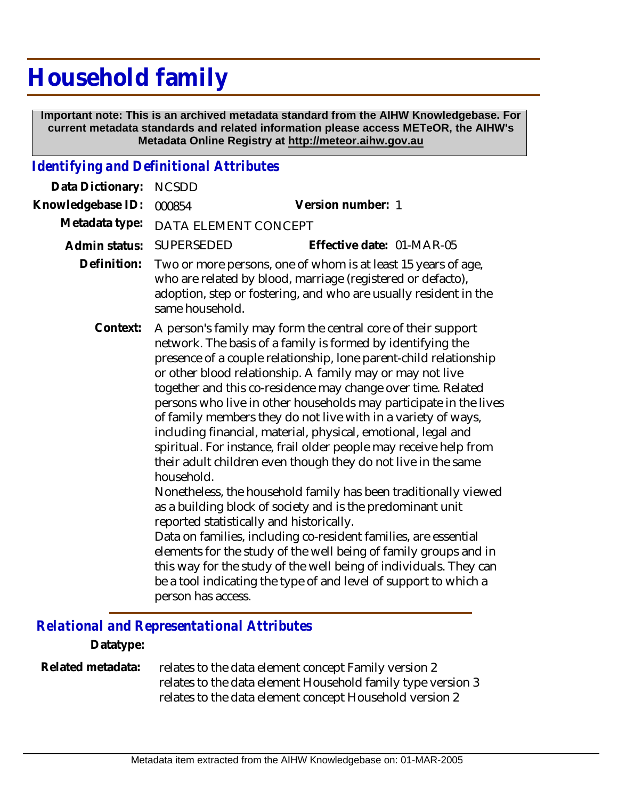# **Household family**

 **Important note: This is an archived metadata standard from the AIHW Knowledgebase. For current metadata standards and related information please access METeOR, the AIHW's Metadata Online Registry at http://meteor.aihw.gov.au**

## *Identifying and Definitional Attributes*

| Data Dictionary:  | <b>NCSDD</b>                                                                                                                                                                                                                                                                                                                                                                                                                                                                                                                                                                                                                                                                                                                                                                                                                                                                                                                                                                                                                                                                                                                                                                |                           |
|-------------------|-----------------------------------------------------------------------------------------------------------------------------------------------------------------------------------------------------------------------------------------------------------------------------------------------------------------------------------------------------------------------------------------------------------------------------------------------------------------------------------------------------------------------------------------------------------------------------------------------------------------------------------------------------------------------------------------------------------------------------------------------------------------------------------------------------------------------------------------------------------------------------------------------------------------------------------------------------------------------------------------------------------------------------------------------------------------------------------------------------------------------------------------------------------------------------|---------------------------|
| Knowledgebase ID: | 000854                                                                                                                                                                                                                                                                                                                                                                                                                                                                                                                                                                                                                                                                                                                                                                                                                                                                                                                                                                                                                                                                                                                                                                      | Version number: 1         |
| Metadata type:    | DATA ELEMENT CONCEPT                                                                                                                                                                                                                                                                                                                                                                                                                                                                                                                                                                                                                                                                                                                                                                                                                                                                                                                                                                                                                                                                                                                                                        |                           |
| Admin status:     | SUPERSEDED                                                                                                                                                                                                                                                                                                                                                                                                                                                                                                                                                                                                                                                                                                                                                                                                                                                                                                                                                                                                                                                                                                                                                                  | Effective date: 01-MAR-05 |
| Definition:       | Two or more persons, one of whom is at least 15 years of age,<br>who are related by blood, marriage (registered or defacto),<br>adoption, step or fostering, and who are usually resident in the<br>same household.                                                                                                                                                                                                                                                                                                                                                                                                                                                                                                                                                                                                                                                                                                                                                                                                                                                                                                                                                         |                           |
| Context:          | A person's family may form the central core of their support<br>network. The basis of a family is formed by identifying the<br>presence of a couple relationship, lone parent-child relationship<br>or other blood relationship. A family may or may not live<br>together and this co-residence may change over time. Related<br>persons who live in other households may participate in the lives<br>of family members they do not live with in a variety of ways,<br>including financial, material, physical, emotional, legal and<br>spiritual. For instance, frail older people may receive help from<br>their adult children even though they do not live in the same<br>household.<br>Nonetheless, the household family has been traditionally viewed<br>as a building block of society and is the predominant unit<br>reported statistically and historically.<br>Data on families, including co-resident families, are essential<br>elements for the study of the well being of family groups and in<br>this way for the study of the well being of individuals. They can<br>be a tool indicating the type of and level of support to which a<br>person has access. |                           |

### *Relational and Representational Attributes*

#### **Datatype:**

relates to the data element concept Family version 2 relates to the data element Household family type version 3 relates to the data element concept Household version 2 **Related metadata:**